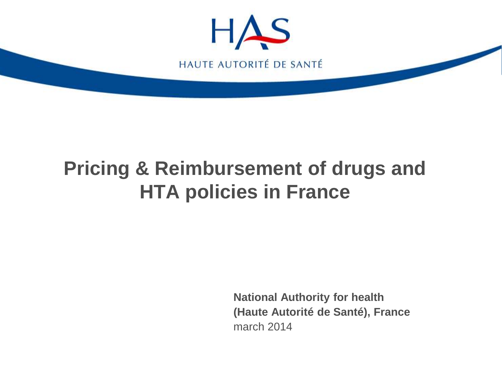

### **Pricing & Reimbursement of drugs and HTA policies in France**

**National Authority for health (Haute Autorité de Santé), France** march 2014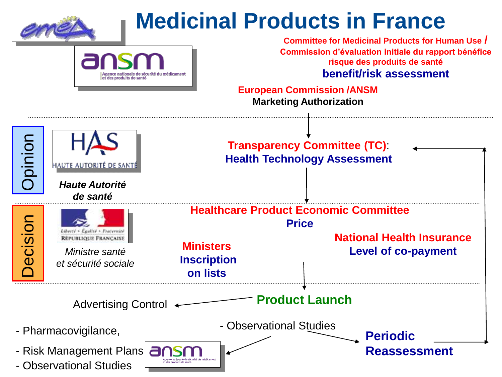

# **Medicinal Products in France**



**Committee for Medicinal Products for Human Use / Commission d'évaluation initiale du rapport bénéfice risque des produits de santé benefit/risk assessment**

#### **European Commission /ANSM Marketing Authorization**

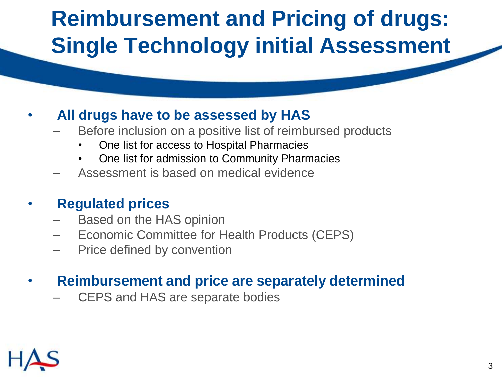## **Reimbursement and Pricing of drugs: Single Technology initial Assessment**

#### • **All drugs have to be assessed by HAS**

- Before inclusion on a positive list of reimbursed products
	- One list for access to Hospital Pharmacies
	- One list for admission to Community Pharmacies
- Assessment is based on medical evidence

#### • **Regulated prices**

- Based on the HAS opinion
- Economic Committee for Health Products (CEPS)
- Price defined by convention
- **Reimbursement and price are separately determined**
	- CEPS and HAS are separate bodies

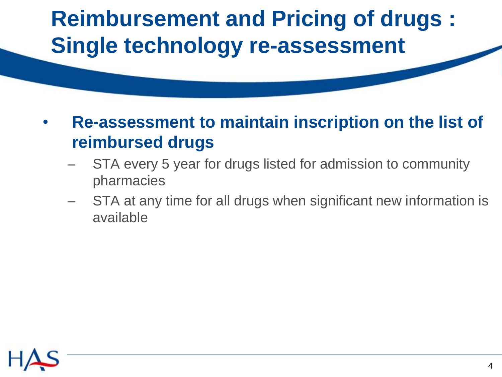## **Reimbursement and Pricing of drugs : Single technology re-assessment**

- **Re-assessment to maintain inscription on the list of reimbursed drugs**
	- STA every 5 year for drugs listed for admission to community pharmacies
	- STA at any time for all drugs when significant new information is available

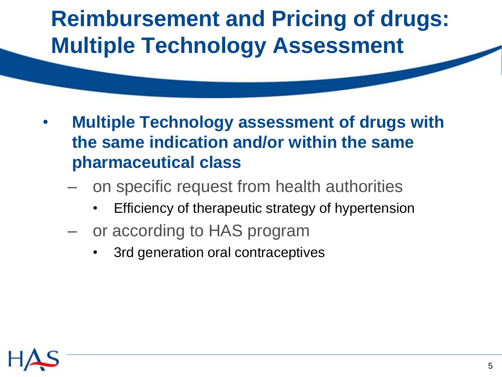## **Reimbursement and Pricing of drugs: Multiple Technology Assessment**

- **Multiple Technology assessment of drugs with the same indication and/or within the same pharmaceutical class**
	- on specific request from health authorities
		- Efficiency of therapeutic strategy of hypertension
	- or according to HAS program
		- 3rd generation oral contraceptives

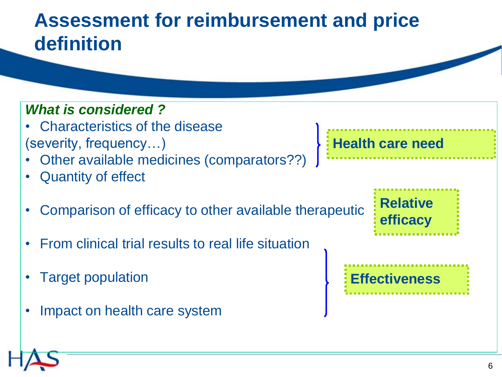### **Assessment for reimbursement and price definition**

#### *What is considered ?*

- Characteristics of the disease (severity, frequency…)
- Other available medicines (comparators??)
- **Quantity of effect**
- Comparison of efficacy to other available therapeutic
- From clinical trial results to real life situation
- Target population
- Impact on health care system

**Health care need**

**Effectiveness**

**Relative** 

**efficacy**

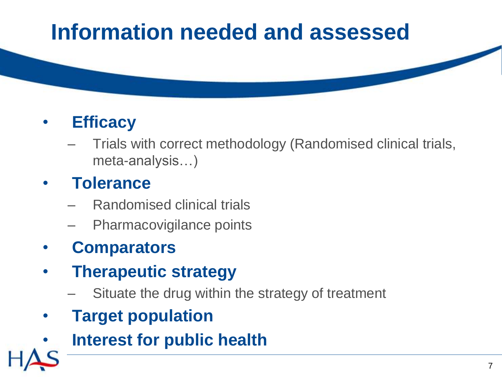## **Information needed and assessed**

#### • **Efficacy**

– Trials with correct methodology (Randomised clinical trials, meta-analysis…)

#### • **Tolerance**

- Randomised clinical trials
- Pharmacovigilance points

#### • **Comparators**

- **Therapeutic strategy**
	- Situate the drug within the strategy of treatment
- **Target population**
- **Interest for public health**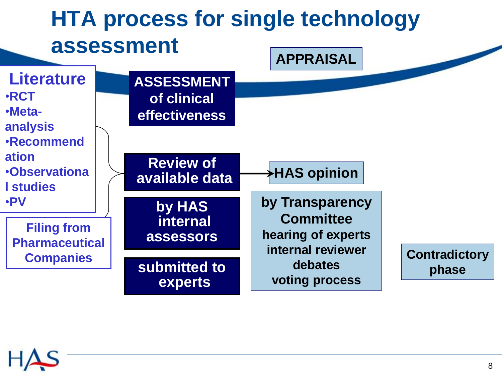

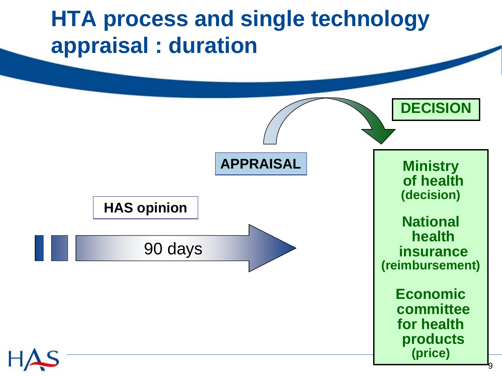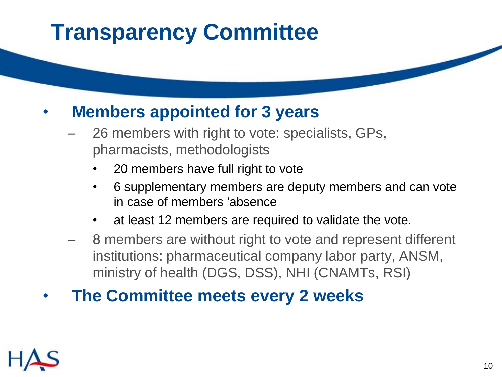## **Transparency Committee**

#### • **Members appointed for 3 years**

- 26 members with right to vote: specialists, GPs, pharmacists, methodologists
	- 20 members have full right to vote
	- 6 supplementary members are deputy members and can vote in case of members 'absence
	- at least 12 members are required to validate the vote.
- 8 members are without right to vote and represent different institutions: pharmaceutical company labor party, ANSM, ministry of health (DGS, DSS), NHI (CNAMTs, RSI)
- **The Committee meets every 2 weeks**

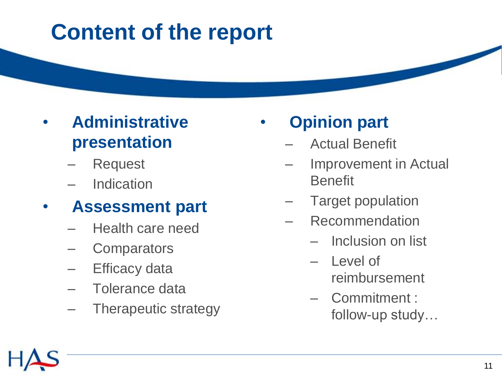## **Content of the report**

- **Administrative presentation**
	- Request
	- **Indication**

#### • **Assessment part**

- Health care need
- **Comparators**
- **Efficacy data**
- Tolerance data
- Therapeutic strategy

• **Opinion part**

- Actual Benefit
- Improvement in Actual **Benefit**
- Target population
- Recommendation
	- Inclusion on list
	- Level of reimbursement
	- Commitment : follow-up study…

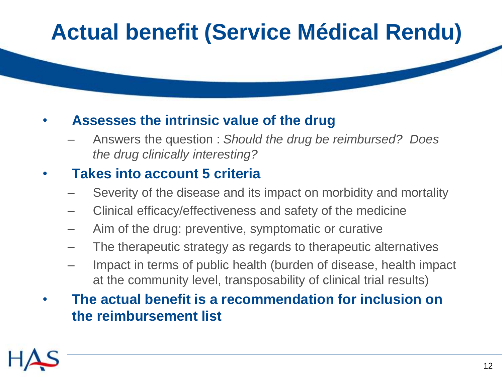## **Actual benefit (Service Médical Rendu)**

#### • **Assesses the intrinsic value of the drug**

– Answers the question : *Should the drug be reimbursed? Does the drug clinically interesting?*

#### • **Takes into account 5 criteria**

- Severity of the disease and its impact on morbidity and mortality
- Clinical efficacy/effectiveness and safety of the medicine
- Aim of the drug: preventive, symptomatic or curative
- The therapeutic strategy as regards to therapeutic alternatives
- Impact in terms of public health (burden of disease, health impact at the community level, transposability of clinical trial results)
- **The actual benefit is a recommendation for inclusion on the reimbursement list**

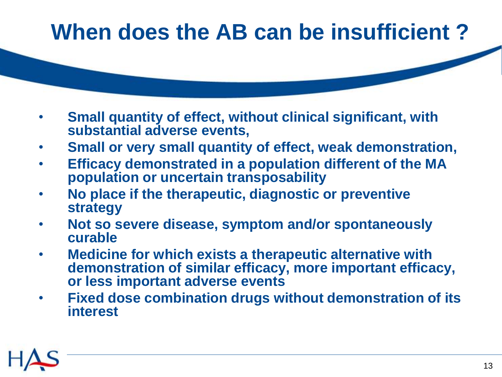## **When does the AB can be insufficient ?**

- **Small quantity of effect, without clinical significant, with substantial adverse events,**
- **Small or very small quantity of effect, weak demonstration,**
- **Efficacy demonstrated in a population different of the MA population or uncertain transposability**
- **No place if the therapeutic, diagnostic or preventive strategy**
- **Not so severe disease, symptom and/or spontaneously curable**
- **Medicine for which exists a therapeutic alternative with demonstration of similar efficacy, more important efficacy, or less important adverse events**
- **Fixed dose combination drugs without demonstration of its interest**

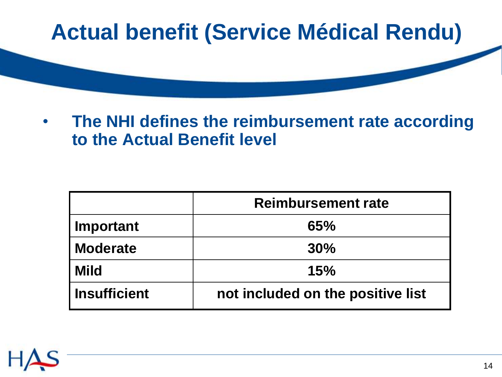

• **The NHI defines the reimbursement rate according to the Actual Benefit level**

|                     | <b>Reimbursement rate</b>         |
|---------------------|-----------------------------------|
| <b>Important</b>    | 65%                               |
| <b>Moderate</b>     | 30%                               |
| <b>Mild</b>         | 15%                               |
| <b>Insufficient</b> | not included on the positive list |

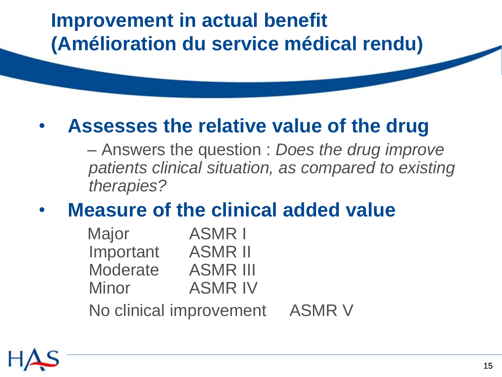### **Improvement in actual benefit (Amélioration du service médical rendu)**

### • **Assesses the relative value of the drug**

– Answers the question : *Does the drug improve patients clinical situation, as compared to existing therapies?*

### • **Measure of the clinical added value**

| Major           | <b>ASMR I</b>           |  |
|-----------------|-------------------------|--|
| Important       | <b>ASMR II</b>          |  |
| <b>Moderate</b> | <b>ASMR III</b>         |  |
| Minor           | <b>ASMR IV</b>          |  |
|                 | No clinical improvement |  |

No clinical improvement ASMR V

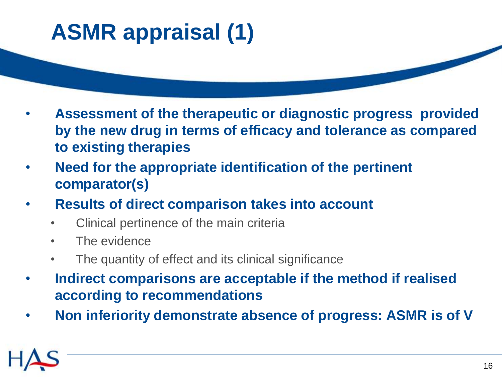# **ASMR appraisal (1)**

- **Assessment of the therapeutic or diagnostic progress provided by the new drug in terms of efficacy and tolerance as compared to existing therapies**
- **Need for the appropriate identification of the pertinent comparator(s)**
- **Results of direct comparison takes into account**
	- Clinical pertinence of the main criteria
	- The evidence
	- The quantity of effect and its clinical significance
- **Indirect comparisons are acceptable if the method if realised according to recommendations**
- **Non inferiority demonstrate absence of progress: ASMR is of V**

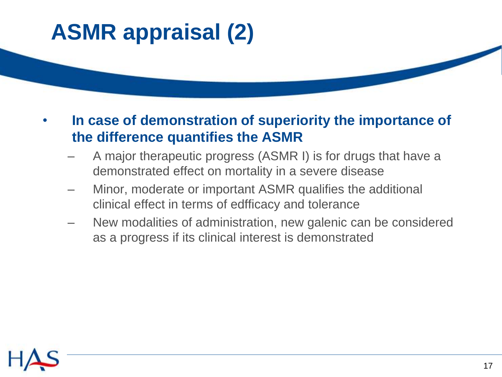## **ASMR appraisal (2)**

- **In case of demonstration of superiority the importance of the difference quantifies the ASMR** 
	- A major therapeutic progress (ASMR I) is for drugs that have a demonstrated effect on mortality in a severe disease
	- Minor, moderate or important ASMR qualifies the additional clinical effect in terms of edfficacy and tolerance
	- New modalities of administration, new galenic can be considered as a progress if its clinical interest is demonstrated

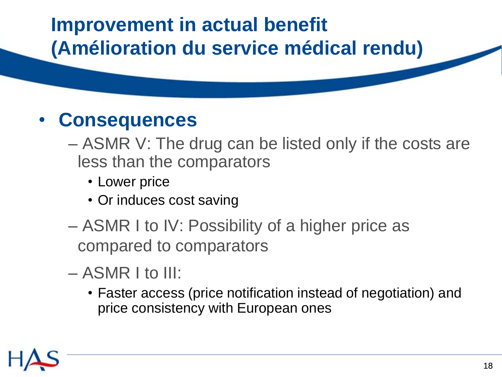### **Improvement in actual benefit (Amélioration du service médical rendu)**

### • **Consequences**

- ASMR V: The drug can be listed only if the costs are less than the comparators
	- Lower price
	- Or induces cost saving
- ASMR I to IV: Possibility of a higher price as compared to comparators
- ASMR I to III:
	- Faster access (price notification instead of negotiation) and price consistency with European ones

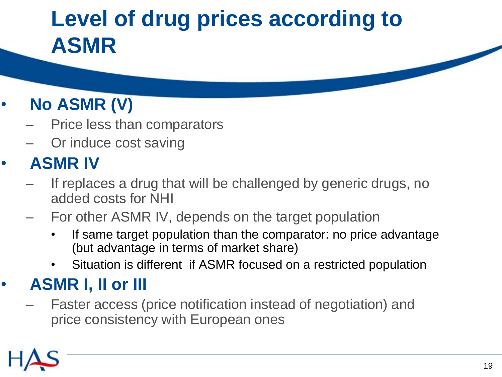## **Level of drug prices according to ASMR**

### • **No ASMR (V)**

- Price less than comparators
- Or induce cost saving

### • **ASMR IV**

- If replaces a drug that will be challenged by generic drugs, no added costs for NHI
- For other ASMR IV, depends on the target population
	- If same target population than the comparator: no price advantage (but advantage in terms of market share)
	- Situation is different if ASMR focused on a restricted population

#### • **ASMR I, II or III**

– Faster access (price notification instead of negotiation) and price consistency with European ones